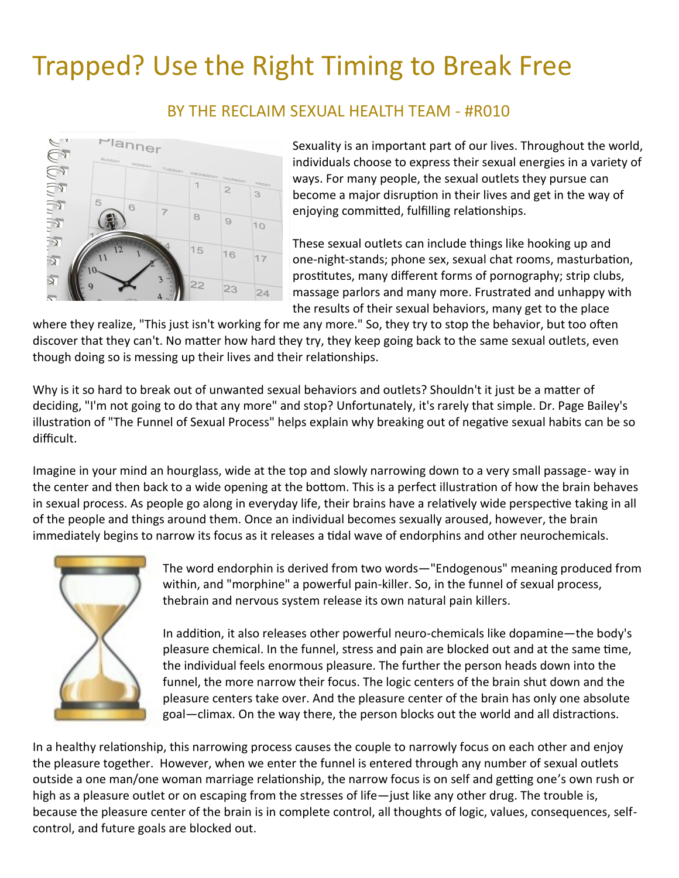## Trapped? Use the Right Timing to Break Free



BY THE RECLAIM SEXUAL HEALTH TEAM - #R010

Sexuality is an important part of our lives. Throughout the world, individuals choose to express their sexual energies in a variety of ways. For many people, the sexual outlets they pursue can become a major disruption in their lives and get in the way of enjoying committed, fulfilling relationships.

These sexual outlets can include things like hooking up and one-night-stands; phone sex, sexual chat rooms, masturbation, prostitutes, many different forms of pornography; strip clubs, massage parlors and many more. Frustrated and unhappy with the results of their sexual behaviors, many get to the place

where they realize, "This just isn't working for me any more." So, they try to stop the behavior, but too often discover that they can't. No matter how hard they try, they keep going back to the same sexual outlets, even though doing so is messing up their lives and their relationships.

Why is it so hard to break out of unwanted sexual behaviors and outlets? Shouldn't it just be a matter of deciding, "I'm not going to do that any more" and stop? Unfortunately, it's rarely that simple. Dr. Page Bailey's illustration of "The Funnel of Sexual Process" helps explain why breaking out of negative sexual habits can be so difficult.

Imagine in your mind an hourglass, wide at the top and slowly narrowing down to a very small passage- way in the center and then back to a wide opening at the bottom. This is a perfect illustration of how the brain behaves in sexual process. As people go along in everyday life, their brains have a relatively wide perspective taking in all of the people and things around them. Once an individual becomes sexually aroused, however, the brain immediately begins to narrow its focus as it releases a tidal wave of endorphins and other neurochemicals.



The word endorphin is derived from two words—"Endogenous" meaning produced from within, and "morphine" a powerful pain-killer. So, in the funnel of sexual process, thebrain and nervous system release its own natural pain killers.

In addition, it also releases other powerful neuro-chemicals like dopamine—the body's pleasure chemical. In the funnel, stress and pain are blocked out and at the same time, the individual feels enormous pleasure. The further the person heads down into the funnel, the more narrow their focus. The logic centers of the brain shut down and the pleasure centers take over. And the pleasure center of the brain has only one absolute goal—climax. On the way there, the person blocks out the world and all distractions.

In a healthy relationship, this narrowing process causes the couple to narrowly focus on each other and enjoy the pleasure together. However, when we enter the funnel is entered through any number of sexual outlets outside a one man/one woman marriage relationship, the narrow focus is on self and getting one's own rush or high as a pleasure outlet or on escaping from the stresses of life—just like any other drug. The trouble is, because the pleasure center of the brain is in complete control, all thoughts of logic, values, consequences, selfcontrol, and future goals are blocked out.